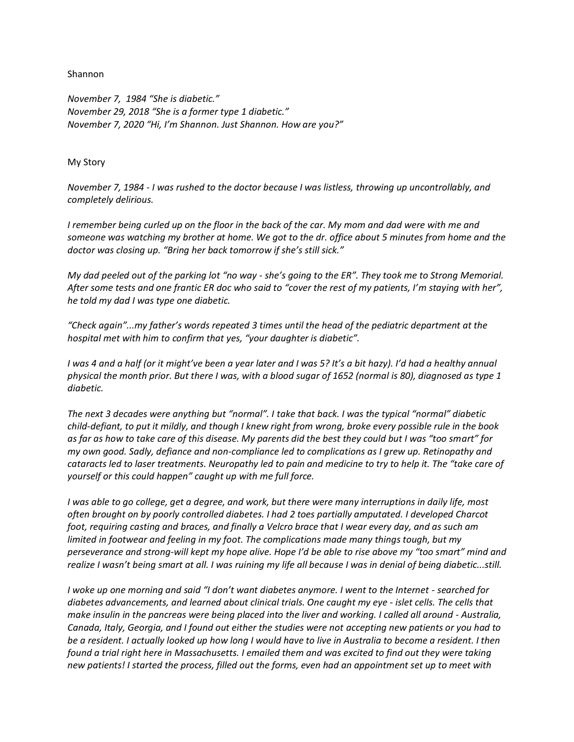Shannon

*November 7, 1984 "She is diabetic." November 29, 2018 "She is a former type 1 diabetic." November 7, 2020 "Hi, I'm Shannon. Just Shannon. How are you?"*

## My Story

*November 7, 1984 - I was rushed to the doctor because I was listless, throwing up uncontrollably, and completely delirious.*

*I remember being curled up on the floor in the back of the car. My mom and dad were with me and someone was watching my brother at home. We got to the dr. office about 5 minutes from home and the doctor was closing up. "Bring her back tomorrow if she's still sick."*

*My dad peeled out of the parking lot "no way - she's going to the ER". They took me to Strong Memorial. After some tests and one frantic ER doc who said to "cover the rest of my patients, I'm staying with her", he told my dad I was type one diabetic.*

*"Check again"...my father's words repeated 3 times until the head of the pediatric department at the hospital met with him to confirm that yes, "your daughter is diabetic".*

*I was 4 and a half (or it might've been a year later and I was 5? It's a bit hazy). I'd had a healthy annual physical the month prior. But there I was, with a blood sugar of 1652 (normal is 80), diagnosed as type 1 diabetic.*

*The next 3 decades were anything but "normal". I take that back. I was the typical "normal" diabetic child-defiant, to put it mildly, and though I knew right from wrong, broke every possible rule in the book as far as how to take care of this disease. My parents did the best they could but I was "too smart" for my own good. Sadly, defiance and non-compliance led to complications as I grew up. Retinopathy and cataracts led to laser treatments. Neuropathy led to pain and medicine to try to help it. The "take care of yourself or this could happen" caught up with me full force.*

*I was able to go college, get a degree, and work, but there were many interruptions in daily life, most often brought on by poorly controlled diabetes. I had 2 toes partially amputated. I developed Charcot foot, requiring casting and braces, and finally a Velcro brace that I wear every day, and as such am*  limited in footwear and feeling in my foot. The complications made many things tough, but my *perseverance and strong-will kept my hope alive. Hope I'd be able to rise above my "too smart" mind and realize I wasn't being smart at all. I was ruining my life all because I was in denial of being diabetic...still.*

*I* woke up one morning and said "I don't want diabetes anymore. I went to the Internet - searched for *diabetes advancements, and learned about clinical trials. One caught my eye - islet cells. The cells that make insulin in the pancreas were being placed into the liver and working. I called all around - Australia, Canada, Italy, Georgia, and I found out either the studies were not accepting new patients or you had to be a resident. I actually looked up how long I would have to live in Australia to become a resident. I then found a trial right here in Massachusetts. I emailed them and was excited to find out they were taking new patients! I started the process, filled out the forms, even had an appointment set up to meet with*